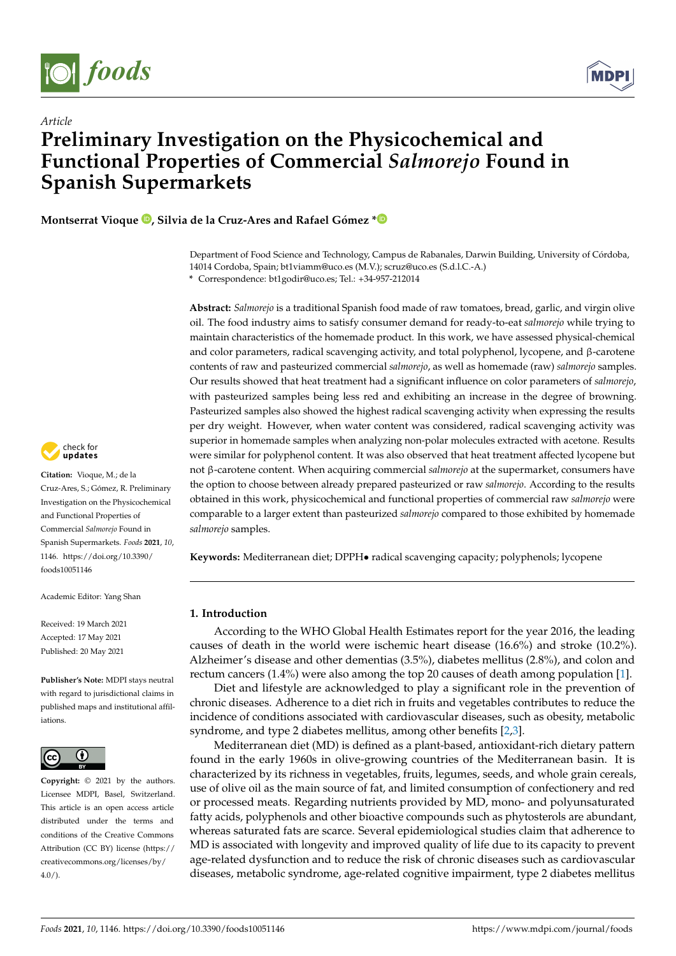



# *Article* **Preliminary Investigation on the Physicochemical and Functional Properties of Commercial** *Salmorejo* **Found in Spanish Supermarkets**

**Montserrat Vioque [,](https://orcid.org/0000-0002-0860-3362) Silvia de la Cruz-Ares and Rafael Gómez [\\*](https://orcid.org/0000-0003-4582-3193)**

Department of Food Science and Technology, Campus de Rabanales, Darwin Building, University of Córdoba, 14014 Cordoba, Spain; bt1viamm@uco.es (M.V.); scruz@uco.es (S.d.l.C.-A.) **\*** Correspondence: bt1godir@uco.es; Tel.: +34-957-212014

**Abstract:** *Salmorejo* is a traditional Spanish food made of raw tomatoes, bread, garlic, and virgin olive oil. The food industry aims to satisfy consumer demand for ready-to-eat *salmorejo* while trying to maintain characteristics of the homemade product. In this work, we have assessed physical-chemical and color parameters, radical scavenging activity, and total polyphenol, lycopene, and β-carotene contents of raw and pasteurized commercial *salmorejo*, as well as homemade (raw) *salmorejo* samples. Our results showed that heat treatment had a significant influence on color parameters of *salmorejo*, with pasteurized samples being less red and exhibiting an increase in the degree of browning. Pasteurized samples also showed the highest radical scavenging activity when expressing the results per dry weight. However, when water content was considered, radical scavenging activity was superior in homemade samples when analyzing non-polar molecules extracted with acetone. Results were similar for polyphenol content. It was also observed that heat treatment affected lycopene but not β-carotene content. When acquiring commercial *salmorejo* at the supermarket, consumers have the option to choose between already prepared pasteurized or raw *salmorejo*. According to the results obtained in this work, physicochemical and functional properties of commercial raw *salmorejo* were comparable to a larger extent than pasteurized *salmorejo* compared to those exhibited by homemade *salmorejo* samples.

**Keywords:** Mediterranean diet; DPPH• radical scavenging capacity; polyphenols; lycopene

## **1. Introduction**

According to the WHO Global Health Estimates report for the year 2016, the leading causes of death in the world were ischemic heart disease (16.6%) and stroke (10.2%). Alzheimer's disease and other dementias (3.5%), diabetes mellitus (2.8%), and colon and rectum cancers (1.4%) were also among the top 20 causes of death among population [\[1\]](#page-9-0).

Diet and lifestyle are acknowledged to play a significant role in the prevention of chronic diseases. Adherence to a diet rich in fruits and vegetables contributes to reduce the incidence of conditions associated with cardiovascular diseases, such as obesity, metabolic syndrome, and type 2 diabetes mellitus, among other benefits [\[2,](#page-9-1)[3\]](#page-9-2).

Mediterranean diet (MD) is defined as a plant-based, antioxidant-rich dietary pattern found in the early 1960s in olive-growing countries of the Mediterranean basin. It is characterized by its richness in vegetables, fruits, legumes, seeds, and whole grain cereals, use of olive oil as the main source of fat, and limited consumption of confectionery and red or processed meats. Regarding nutrients provided by MD, mono- and polyunsaturated fatty acids, polyphenols and other bioactive compounds such as phytosterols are abundant, whereas saturated fats are scarce. Several epidemiological studies claim that adherence to MD is associated with longevity and improved quality of life due to its capacity to prevent age-related dysfunction and to reduce the risk of chronic diseases such as cardiovascular diseases, metabolic syndrome, age-related cognitive impairment, type 2 diabetes mellitus



**Citation:** Vioque, M.; de la Cruz-Ares, S.; Gómez, R. Preliminary Investigation on the Physicochemical and Functional Properties of Commercial *Salmorejo* Found in Spanish Supermarkets. *Foods* **2021**, *10*, 1146. [https://doi.org/10.3390/](https://doi.org/10.3390/foods10051146) [foods10051146](https://doi.org/10.3390/foods10051146)

Academic Editor: Yang Shan

Received: 19 March 2021 Accepted: 17 May 2021 Published: 20 May 2021

**Publisher's Note:** MDPI stays neutral with regard to jurisdictional claims in published maps and institutional affiliations.



**Copyright:** © 2021 by the authors. Licensee MDPI, Basel, Switzerland. This article is an open access article distributed under the terms and conditions of the Creative Commons Attribution (CC BY) license (https:/[/](https://creativecommons.org/licenses/by/4.0/) [creativecommons.org/licenses/by/](https://creativecommons.org/licenses/by/4.0/)  $4.0/$ ).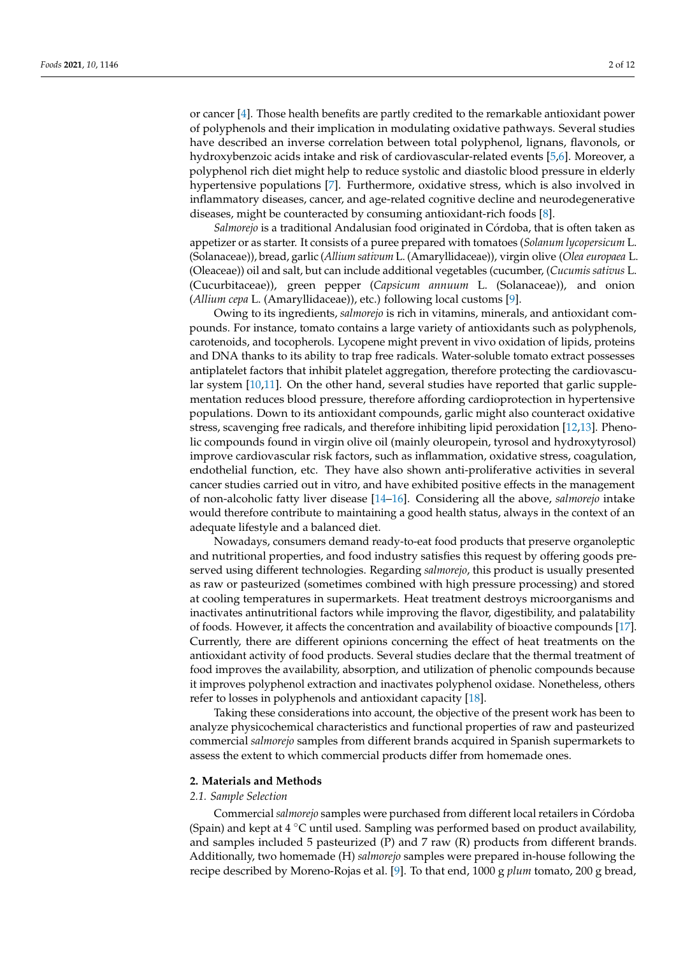or cancer [\[4\]](#page-9-3). Those health benefits are partly credited to the remarkable antioxidant power of polyphenols and their implication in modulating oxidative pathways. Several studies have described an inverse correlation between total polyphenol, lignans, flavonols, or hydroxybenzoic acids intake and risk of cardiovascular-related events [\[5,](#page-9-4)[6\]](#page-9-5). Moreover, a polyphenol rich diet might help to reduce systolic and diastolic blood pressure in elderly hypertensive populations [\[7\]](#page-9-6). Furthermore, oxidative stress, which is also involved in inflammatory diseases, cancer, and age-related cognitive decline and neurodegenerative diseases, might be counteracted by consuming antioxidant-rich foods [\[8\]](#page-9-7).

*Salmorejo* is a traditional Andalusian food originated in Córdoba, that is often taken as appetizer or as starter. It consists of a puree prepared with tomatoes (*Solanum lycopersicum* L. (Solanaceae)), bread, garlic (*Allium sativum* L. (Amaryllidaceae)), virgin olive (*Olea europaea* L. (Oleaceae)) oil and salt, but can include additional vegetables (cucumber, (*Cucumis sativus* L. (Cucurbitaceae)), green pepper (*Capsicum annuum* L. (Solanaceae)), and onion (*Allium cepa* L. (Amaryllidaceae)), etc.) following local customs [\[9\]](#page-9-8).

Owing to its ingredients, *salmorejo* is rich in vitamins, minerals, and antioxidant compounds. For instance, tomato contains a large variety of antioxidants such as polyphenols, carotenoids, and tocopherols. Lycopene might prevent in vivo oxidation of lipids, proteins and DNA thanks to its ability to trap free radicals. Water-soluble tomato extract possesses antiplatelet factors that inhibit platelet aggregation, therefore protecting the cardiovascular system [\[10,](#page-9-9)[11\]](#page-9-10). On the other hand, several studies have reported that garlic supplementation reduces blood pressure, therefore affording cardioprotection in hypertensive populations. Down to its antioxidant compounds, garlic might also counteract oxidative stress, scavenging free radicals, and therefore inhibiting lipid peroxidation [\[12,](#page-9-11)[13\]](#page-9-12). Phenolic compounds found in virgin olive oil (mainly oleuropein, tyrosol and hydroxytyrosol) improve cardiovascular risk factors, such as inflammation, oxidative stress, coagulation, endothelial function, etc. They have also shown anti-proliferative activities in several cancer studies carried out in vitro, and have exhibited positive effects in the management of non-alcoholic fatty liver disease [\[14](#page-9-13)[–16\]](#page-9-14). Considering all the above, *salmorejo* intake would therefore contribute to maintaining a good health status, always in the context of an adequate lifestyle and a balanced diet.

Nowadays, consumers demand ready-to-eat food products that preserve organoleptic and nutritional properties, and food industry satisfies this request by offering goods preserved using different technologies. Regarding *salmorejo*, this product is usually presented as raw or pasteurized (sometimes combined with high pressure processing) and stored at cooling temperatures in supermarkets. Heat treatment destroys microorganisms and inactivates antinutritional factors while improving the flavor, digestibility, and palatability of foods. However, it affects the concentration and availability of bioactive compounds [\[17\]](#page-9-15). Currently, there are different opinions concerning the effect of heat treatments on the antioxidant activity of food products. Several studies declare that the thermal treatment of food improves the availability, absorption, and utilization of phenolic compounds because it improves polyphenol extraction and inactivates polyphenol oxidase. Nonetheless, others refer to losses in polyphenols and antioxidant capacity [\[18\]](#page-9-16).

Taking these considerations into account, the objective of the present work has been to analyze physicochemical characteristics and functional properties of raw and pasteurized commercial *salmorejo* samples from different brands acquired in Spanish supermarkets to assess the extent to which commercial products differ from homemade ones.

#### **2. Materials and Methods**

#### *2.1. Sample Selection*

Commercial *salmorejo* samples were purchased from different local retailers in Córdoba (Spain) and kept at  $4 \degree C$  until used. Sampling was performed based on product availability, and samples included 5 pasteurized (P) and 7 raw (R) products from different brands. Additionally, two homemade (H) *salmorejo* samples were prepared in-house following the recipe described by Moreno-Rojas et al. [\[9\]](#page-9-8). To that end, 1000 g *plum* tomato, 200 g bread,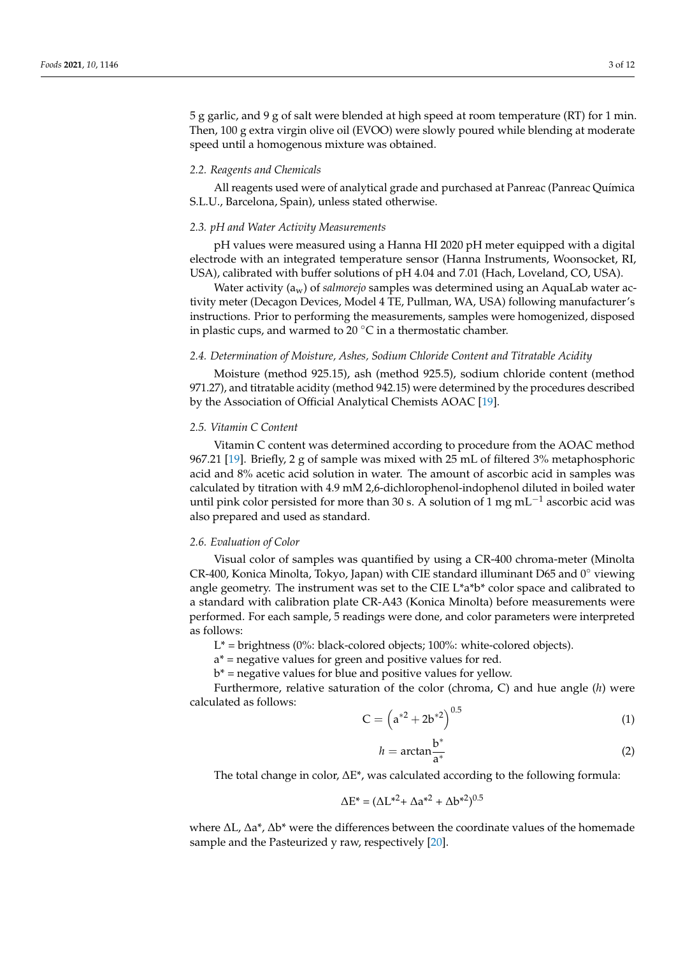5 g garlic, and 9 g of salt were blended at high speed at room temperature (RT) for 1 min. Then, 100 g extra virgin olive oil (EVOO) were slowly poured while blending at moderate speed until a homogenous mixture was obtained.

## *2.2. Reagents and Chemicals*

All reagents used were of analytical grade and purchased at Panreac (Panreac Química S.L.U., Barcelona, Spain), unless stated otherwise.

#### *2.3. pH and Water Activity Measurements*

pH values were measured using a Hanna HI 2020 pH meter equipped with a digital electrode with an integrated temperature sensor (Hanna Instruments, Woonsocket, RI, USA), calibrated with buffer solutions of pH 4.04 and 7.01 (Hach, Loveland, CO, USA).

Water activity (aw) of *salmorejo* samples was determined using an AquaLab water activity meter (Decagon Devices, Model 4 TE, Pullman, WA, USA) following manufacturer's instructions. Prior to performing the measurements, samples were homogenized, disposed in plastic cups, and warmed to 20 $\degree$ C in a thermostatic chamber.

## *2.4. Determination of Moisture, Ashes, Sodium Chloride Content and Titratable Acidity*

Moisture (method 925.15), ash (method 925.5), sodium chloride content (method 971.27), and titratable acidity (method 942.15) were determined by the procedures described by the Association of Official Analytical Chemists AOAC [\[19\]](#page-9-17).

## *2.5. Vitamin C Content*

Vitamin C content was determined according to procedure from the AOAC method 967.21 [\[19\]](#page-9-17). Briefly, 2 g of sample was mixed with 25 mL of filtered 3% metaphosphoric acid and 8% acetic acid solution in water. The amount of ascorbic acid in samples was calculated by titration with 4.9 mM 2,6-dichlorophenol-indophenol diluted in boiled water until pink color persisted for more than 30 s. A solution of 1 mg mL<sup>-1</sup> ascorbic acid was also prepared and used as standard.

#### *2.6. Evaluation of Color*

Visual color of samples was quantified by using a CR-400 chroma-meter (Minolta CR-400, Konica Minolta, Tokyo, Japan) with CIE standard illuminant D65 and  $0°$  viewing angle geometry. The instrument was set to the CIE L\*a\*b\* color space and calibrated to a standard with calibration plate CR-A43 (Konica Minolta) before measurements were performed. For each sample, 5 readings were done, and color parameters were interpreted as follows:

 $L^*$  = brightness (0%: black-colored objects; 100%: white-colored objects).

a\* = negative values for green and positive values for red.

 $b^*$  = negative values for blue and positive values for yellow.

Furthermore, relative saturation of the color (chroma, C) and hue angle (*h*) were calculated as follows:

$$
C = \left( a^{*2} + 2b^{*2} \right)^{0.5}
$$
 (1)

$$
h = \arctan \frac{b^*}{a^*}
$$
 (2)

The total change in color, ∆E\*, was calculated according to the following formula:

$$
\Delta E^* = (\Delta L^{*2} + \Delta a^{*2} + \Delta b^{*2})^{0.5}
$$

where ∆L, ∆a\*, ∆b\* were the differences between the coordinate values of the homemade sample and the Pasteurized y raw, respectively [\[20\]](#page-9-18).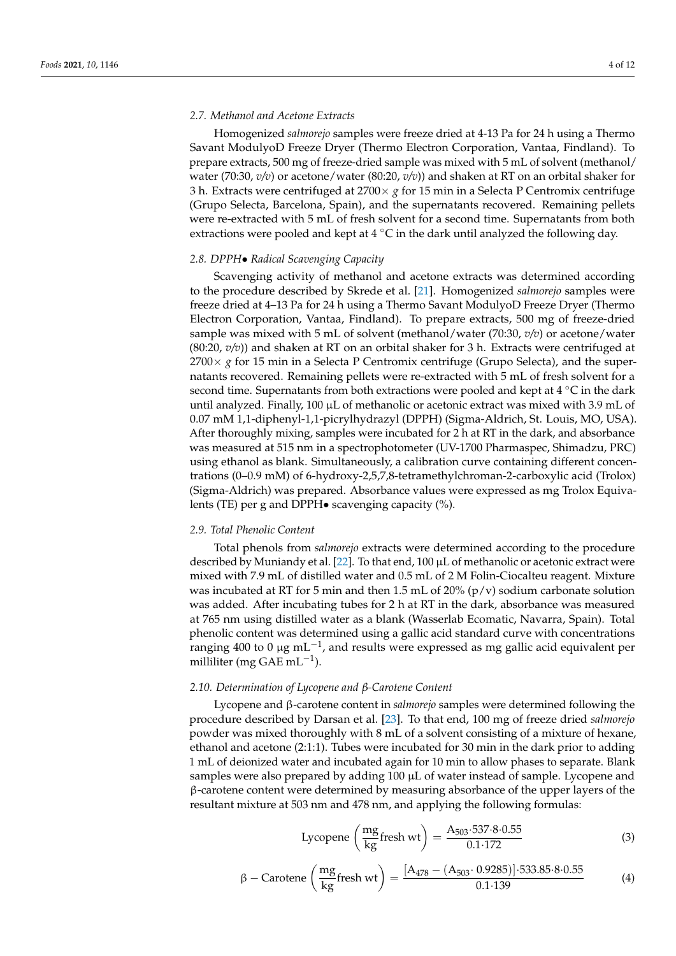## *2.7. Methanol and Acetone Extracts*

Homogenized *salmorejo* samples were freeze dried at 4-13 Pa for 24 h using a Thermo Savant ModulyoD Freeze Dryer (Thermo Electron Corporation, Vantaa, Findland). To prepare extracts, 500 mg of freeze-dried sample was mixed with 5 mL of solvent (methanol/ water (70:30, *v/v*) or acetone/water (80:20, *v/v*)) and shaken at RT on an orbital shaker for 3 h. Extracts were centrifuged at 2700× *g* for 15 min in a Selecta P Centromix centrifuge (Grupo Selecta, Barcelona, Spain), and the supernatants recovered. Remaining pellets were re-extracted with 5 mL of fresh solvent for a second time. Supernatants from both extractions were pooled and kept at  $4^{\circ}$ C in the dark until analyzed the following day.

## *2.8. DPPH*• *Radical Scavenging Capacity*

Scavenging activity of methanol and acetone extracts was determined according to the procedure described by Skrede et al. [\[21\]](#page-10-0). Homogenized *salmorejo* samples were freeze dried at 4–13 Pa for 24 h using a Thermo Savant ModulyoD Freeze Dryer (Thermo Electron Corporation, Vantaa, Findland). To prepare extracts, 500 mg of freeze-dried sample was mixed with 5 mL of solvent (methanol/water (70:30, *v/v*) or acetone/water (80:20, *v/v*)) and shaken at RT on an orbital shaker for 3 h. Extracts were centrifuged at 2700× *g* for 15 min in a Selecta P Centromix centrifuge (Grupo Selecta), and the supernatants recovered. Remaining pellets were re-extracted with 5 mL of fresh solvent for a second time. Supernatants from both extractions were pooled and kept at 4 ◦C in the dark until analyzed. Finally, 100  $\mu$ L of methanolic or acetonic extract was mixed with 3.9 mL of 0.07 mM 1,1-diphenyl-1,1-picrylhydrazyl (DPPH) (Sigma-Aldrich, St. Louis, MO, USA). After thoroughly mixing, samples were incubated for 2 h at RT in the dark, and absorbance was measured at 515 nm in a spectrophotometer (UV-1700 Pharmaspec, Shimadzu, PRC) using ethanol as blank. Simultaneously, a calibration curve containing different concentrations (0–0.9 mM) of 6-hydroxy-2,5,7,8-tetramethylchroman-2-carboxylic acid (Trolox) (Sigma-Aldrich) was prepared. Absorbance values were expressed as mg Trolox Equivalents (TE) per g and DPPH• scavenging capacity (%).

## *2.9. Total Phenolic Content*

Total phenols from *salmorejo* extracts were determined according to the procedure described by Muniandy et al. [\[22\]](#page-10-1). To that end, 100 µL of methanolic or acetonic extract were mixed with 7.9 mL of distilled water and 0.5 mL of 2 M Folin-Ciocalteu reagent. Mixture was incubated at RT for 5 min and then 1.5 mL of 20% ( $p/v$ ) sodium carbonate solution was added. After incubating tubes for 2 h at RT in the dark, absorbance was measured at 765 nm using distilled water as a blank (Wasserlab Ecomatic, Navarra, Spain). Total phenolic content was determined using a gallic acid standard curve with concentrations ranging 400 to 0 μg mL<sup>-1</sup>, and results were expressed as mg gallic acid equivalent per milliliter (mg GAE mL−<sup>1</sup> ).

#### *2.10. Determination of Lycopene and β-Carotene Content*

Lycopene and β-carotene content in *salmorejo* samples were determined following the procedure described by Darsan et al. [\[23\]](#page-10-2). To that end, 100 mg of freeze dried *salmorejo* powder was mixed thoroughly with 8 mL of a solvent consisting of a mixture of hexane, ethanol and acetone (2:1:1). Tubes were incubated for 30 min in the dark prior to adding 1 mL of deionized water and incubated again for 10 min to allow phases to separate. Blank samples were also prepared by adding 100 µL of water instead of sample. Lycopene and β-carotene content were determined by measuring absorbance of the upper layers of the resultant mixture at 503 nm and 478 nm, and applying the following formulas:

$$
\text{Lycopene}\left(\frac{\text{mg}}{\text{kg}}\text{fresh wt}\right) = \frac{\text{A}_{503} \cdot 537 \cdot 8 \cdot 0.55}{0.1 \cdot 172} \tag{3}
$$

$$
\beta - \text{Carotene}\left(\frac{\text{mg}}{\text{kg}}\text{fresh wt}\right) = \frac{[A_{478} - (A_{503} \cdot 0.9285)] \cdot 533.85 \cdot 8 \cdot 0.55}{0.1 \cdot 139} \tag{4}
$$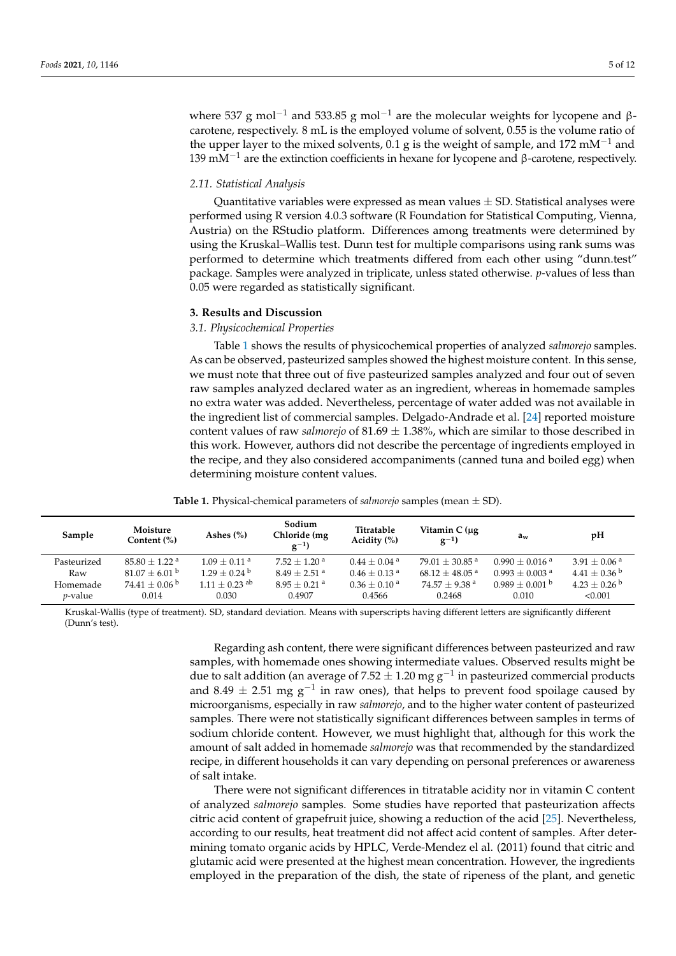where 537 g mol<sup>-1</sup> and 533.85 g mol<sup>-1</sup> are the molecular weights for lycopene and βcarotene, respectively. 8 mL is the employed volume of solvent, 0.55 is the volume ratio of the upper layer to the mixed solvents, 0.1 g is the weight of sample, and 172 mM<sup>-1</sup> and 139 mM<sup> $-1$ </sup> are the extinction coefficients in hexane for lycopene and β-carotene, respectively.

## *2.11. Statistical Analysis*

Quantitative variables were expressed as mean values  $\pm$  SD. Statistical analyses were performed using R version 4.0.3 software (R Foundation for Statistical Computing, Vienna, Austria) on the RStudio platform. Differences among treatments were determined by using the Kruskal–Wallis test. Dunn test for multiple comparisons using rank sums was performed to determine which treatments differed from each other using "dunn.test" package. Samples were analyzed in triplicate, unless stated otherwise. *p*-values of less than 0.05 were regarded as statistically significant.

#### **3. Results and Discussion**

## *3.1. Physicochemical Properties*

Table [1](#page-4-0) shows the results of physicochemical properties of analyzed *salmorejo* samples. As can be observed, pasteurized samples showed the highest moisture content. In this sense, we must note that three out of five pasteurized samples analyzed and four out of seven raw samples analyzed declared water as an ingredient, whereas in homemade samples no extra water was added. Nevertheless, percentage of water added was not available in the ingredient list of commercial samples. Delgado-Andrade et al. [\[24\]](#page-10-3) reported moisture content values of raw *salmorejo* of 81.69 ± 1.38%, which are similar to those described in this work. However, authors did not describe the percentage of ingredients employed in the recipe, and they also considered accompaniments (canned tuna and boiled egg) when determining moisture content values.

<span id="page-4-0"></span>

| Sample          | Moisture<br>Content (%)     | Ashes $(\% )$               | Sodium<br>Chloride (mg<br>$g^{-1}$ | Titratable<br>Acidity $(\%)$ | Vitamin $C(\mu g)$<br>$g^{-1}$ | $a_w$                        | pH                         |
|-----------------|-----------------------------|-----------------------------|------------------------------------|------------------------------|--------------------------------|------------------------------|----------------------------|
| Pasteurized     | $85.80 + 1.22$ <sup>a</sup> | $1.09 + 0.11$ <sup>a</sup>  | $7.52 + 1.20$ <sup>a</sup>         | $0.44 + 0.04$ <sup>a</sup>   | $79.01 \pm 30.85$ <sup>a</sup> | $0.990 + 0.016$ <sup>a</sup> | $3.91 + 0.06$ <sup>a</sup> |
| Raw             | $81.07 \pm 6.01$ b          | $1.29 + 0.24$ <sup>b</sup>  | $8.49 + 2.51$ <sup>a</sup>         | $0.46 \pm 0.13$ <sup>a</sup> | $68.12 \pm 48.05$ <sup>a</sup> | $0.993 + 0.003$ <sup>a</sup> | $4.41 + 0.36^{\mathrm{b}}$ |
| Homemade        | $74.41 + 0.06^{\mathrm{b}}$ | $1.11 + 0.23$ <sup>ab</sup> | $8.95 + 0.21$ <sup>a</sup>         | $0.36 \pm 0.10^{\text{ a}}$  | $74.57 + 9.38$ <sup>a</sup>    | $0.989 + 0.001$ b            | $4.23 + 0.26^{\mathrm{b}}$ |
| <i>v</i> -value | 0.014                       | 0.030                       | 0.4907                             | 0.4566                       | 0.2468                         | 0.010                        | < 0.001                    |

**Table 1.** Physical-chemical parameters of *salmorejo* samples (mean ± SD).

Kruskal-Wallis (type of treatment). SD, standard deviation. Means with superscripts having different letters are significantly different (Dunn's test).

> Regarding ash content, there were significant differences between pasteurized and raw samples, with homemade ones showing intermediate values. Observed results might be due to salt addition (an average of 7.52  $\pm$  1.20 mg g<sup>-1</sup> in pasteurized commercial products and 8.49  $\pm$  2.51 mg g<sup>-1</sup> in raw ones), that helps to prevent food spoilage caused by microorganisms, especially in raw *salmorejo*, and to the higher water content of pasteurized samples. There were not statistically significant differences between samples in terms of sodium chloride content. However, we must highlight that, although for this work the amount of salt added in homemade *salmorejo* was that recommended by the standardized recipe, in different households it can vary depending on personal preferences or awareness of salt intake.

> There were not significant differences in titratable acidity nor in vitamin C content of analyzed *salmorejo* samples. Some studies have reported that pasteurization affects citric acid content of grapefruit juice, showing a reduction of the acid [\[25\]](#page-10-4). Nevertheless, according to our results, heat treatment did not affect acid content of samples. After determining tomato organic acids by HPLC, Verde-Mendez el al. (2011) found that citric and glutamic acid were presented at the highest mean concentration. However, the ingredients employed in the preparation of the dish, the state of ripeness of the plant, and genetic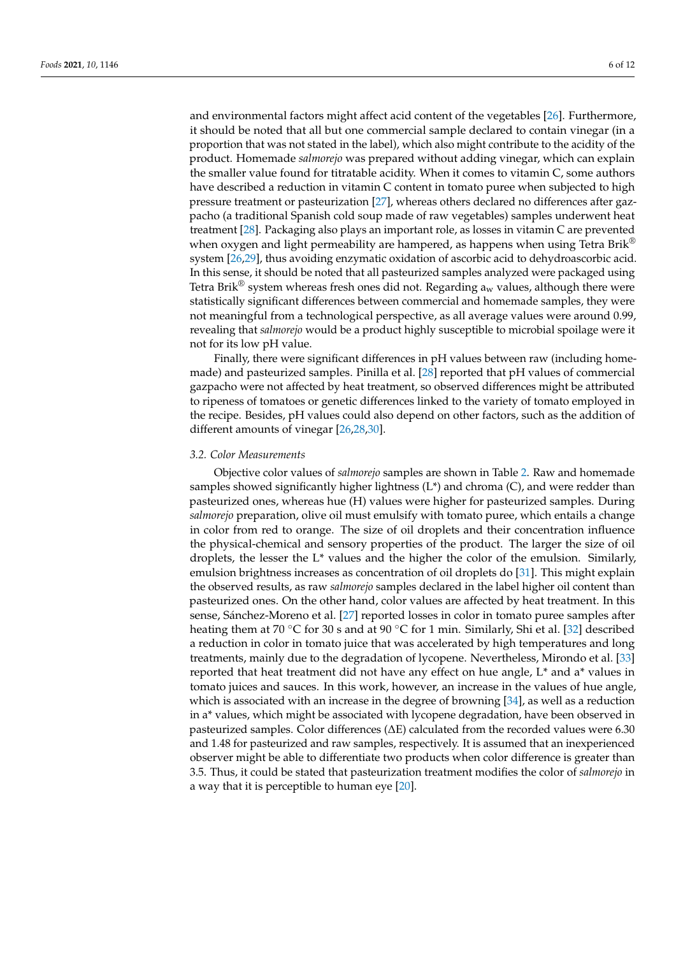and environmental factors might affect acid content of the vegetables [\[26\]](#page-10-5). Furthermore, it should be noted that all but one commercial sample declared to contain vinegar (in a proportion that was not stated in the label), which also might contribute to the acidity of the product. Homemade *salmorejo* was prepared without adding vinegar, which can explain the smaller value found for titratable acidity. When it comes to vitamin C, some authors have described a reduction in vitamin C content in tomato puree when subjected to high pressure treatment or pasteurization [\[27\]](#page-10-6), whereas others declared no differences after gazpacho (a traditional Spanish cold soup made of raw vegetables) samples underwent heat treatment [\[28\]](#page-10-7). Packaging also plays an important role, as losses in vitamin C are prevented when oxygen and light permeability are hampered, as happens when using Tetra Brik<sup>®</sup> system [\[26,](#page-10-5)[29\]](#page-10-8), thus avoiding enzymatic oxidation of ascorbic acid to dehydroascorbic acid. In this sense, it should be noted that all pasteurized samples analyzed were packaged using Tetra Brik<sup>®</sup> system whereas fresh ones did not. Regarding  $a_w$  values, although there were statistically significant differences between commercial and homemade samples, they were not meaningful from a technological perspective, as all average values were around 0.99, revealing that *salmorejo* would be a product highly susceptible to microbial spoilage were it not for its low pH value.

Finally, there were significant differences in pH values between raw (including homemade) and pasteurized samples. Pinilla et al. [\[28\]](#page-10-7) reported that pH values of commercial gazpacho were not affected by heat treatment, so observed differences might be attributed to ripeness of tomatoes or genetic differences linked to the variety of tomato employed in the recipe. Besides, pH values could also depend on other factors, such as the addition of different amounts of vinegar [\[26,](#page-10-5)[28,](#page-10-7)[30\]](#page-10-9).

## *3.2. Color Measurements*

Objective color values of *salmorejo* samples are shown in Table [2.](#page-6-0) Raw and homemade samples showed significantly higher lightness  $(L^*)$  and chroma  $(C)$ , and were redder than pasteurized ones, whereas hue (H) values were higher for pasteurized samples. During *salmorejo* preparation, olive oil must emulsify with tomato puree, which entails a change in color from red to orange. The size of oil droplets and their concentration influence the physical-chemical and sensory properties of the product. The larger the size of oil droplets, the lesser the L\* values and the higher the color of the emulsion. Similarly, emulsion brightness increases as concentration of oil droplets do [\[31\]](#page-10-10). This might explain the observed results, as raw *salmorejo* samples declared in the label higher oil content than pasteurized ones. On the other hand, color values are affected by heat treatment. In this sense, Sánchez-Moreno et al. [\[27\]](#page-10-6) reported losses in color in tomato puree samples after heating them at 70 °C for 30 s and at 90 °C for 1 min. Similarly, Shi et al. [\[32\]](#page-10-11) described a reduction in color in tomato juice that was accelerated by high temperatures and long treatments, mainly due to the degradation of lycopene. Nevertheless, Mirondo et al. [\[33\]](#page-10-12) reported that heat treatment did not have any effect on hue angle, L\* and a\* values in tomato juices and sauces. In this work, however, an increase in the values of hue angle, which is associated with an increase in the degree of browning [\[34\]](#page-10-13), as well as a reduction in a\* values, which might be associated with lycopene degradation, have been observed in pasteurized samples. Color differences (∆E) calculated from the recorded values were 6.30 and 1.48 for pasteurized and raw samples, respectively. It is assumed that an inexperienced observer might be able to differentiate two products when color difference is greater than 3.5. Thus, it could be stated that pasteurization treatment modifies the color of *salmorejo* in a way that it is perceptible to human eye [\[20\]](#page-9-18).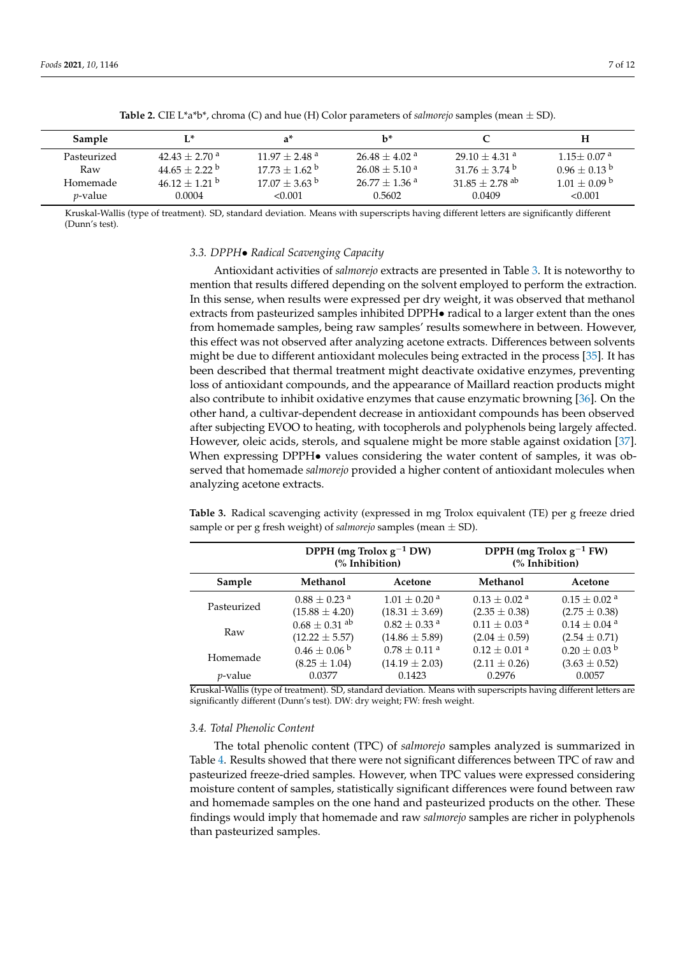<span id="page-6-0"></span>

| Sample          |                             | a*                          | $\mathbf{b}^*$              |                              |                            |
|-----------------|-----------------------------|-----------------------------|-----------------------------|------------------------------|----------------------------|
| Pasteurized     | $42.43 + 2.70$ <sup>a</sup> | $11.97 + 2.48$ <sup>a</sup> | $26.48 + 4.02$ <sup>a</sup> | $29.10 + 4.31$ <sup>a</sup>  | $1.15 + 0.07$ <sup>a</sup> |
| Raw             | $4465 + 222$                | $17.73 + 1.62^{\circ}$      | $26.08 + 5.10^{a}$          | $31.76 \pm 3.74$ b           | $0.96 + 0.13^{b}$          |
| Homemade        | $46.12 + 1.21$ b            | $17.07 + 3.63^{\circ}$      | $26.77 + 1.36$ <sup>a</sup> | $31.85 + 2.78$ <sup>ab</sup> | $1.01 + 0.09$ b            |
| <i>p</i> -value | 0.0004                      | < 0.001                     | 0.5602                      | 0.0409                       | < 0.001                    |

**Table 2.** CIE L\*a\*b\*, chroma (C) and hue (H) Color parameters of *salmorejo* samples (mean  $\pm$  SD).

Kruskal-Wallis (type of treatment). SD, standard deviation. Means with superscripts having different letters are significantly different (Dunn's test).

## *3.3. DPPH*• *Radical Scavenging Capacity*

Antioxidant activities of *salmorejo* extracts are presented in Table [3.](#page-6-1) It is noteworthy to mention that results differed depending on the solvent employed to perform the extraction. In this sense, when results were expressed per dry weight, it was observed that methanol extracts from pasteurized samples inhibited DPPH $\bullet$  radical to a larger extent than the ones from homemade samples, being raw samples' results somewhere in between. However, this effect was not observed after analyzing acetone extracts. Differences between solvents might be due to different antioxidant molecules being extracted in the process [\[35\]](#page-10-14). It has been described that thermal treatment might deactivate oxidative enzymes, preventing loss of antioxidant compounds, and the appearance of Maillard reaction products might also contribute to inhibit oxidative enzymes that cause enzymatic browning [\[36\]](#page-10-15). On the other hand, a cultivar-dependent decrease in antioxidant compounds has been observed after subjecting EVOO to heating, with tocopherols and polyphenols being largely affected. However, oleic acids, sterols, and squalene might be more stable against oxidation [\[37\]](#page-10-16). When expressing DPPH $\bullet$  values considering the water content of samples, it was observed that homemade *salmorejo* provided a higher content of antioxidant molecules when analyzing acetone extracts.

<span id="page-6-1"></span>**Table 3.** Radical scavenging activity (expressed in mg Trolox equivalent (TE) per g freeze dried sample or per g fresh weight) of *salmorejo* samples (mean ± SD).

|                 | DPPH (mg Trolox $g^{-1}$ DW)<br>(% Inhibition) |                              | DPPH (mg Trolox $g^{-1}$ FW)<br>(% Inhibition) |                              |
|-----------------|------------------------------------------------|------------------------------|------------------------------------------------|------------------------------|
| Sample          | Methanol                                       | Acetone                      | Methanol                                       | Acetone                      |
| Pasteurized     | $0.88 + 0.23$ <sup>a</sup>                     | $1.01 \pm 0.20$ <sup>a</sup> | $0.13 + 0.02$ <sup>a</sup>                     | $0.15 \pm 0.02$ <sup>a</sup> |
|                 | $(15.88 \pm 4.20)$                             | $(18.31 \pm 3.69)$           | $(2.35 \pm 0.38)$                              | $(2.75 \pm 0.38)$            |
| Raw             | $0.68 \pm 0.31$ <sup>ab</sup>                  | $0.82 \pm 0.33$ <sup>a</sup> | $0.11 \pm 0.03$ <sup>a</sup>                   | $0.14 \pm 0.04$ <sup>a</sup> |
|                 | $(12.22 \pm 5.57)$                             | $(14.86 \pm 5.89)$           | $(2.04 \pm 0.59)$                              | $(2.54 \pm 0.71)$            |
| Homemade        | $0.46 \pm 0.06^{\mathrm{b}}$                   | $0.78 \pm 0.11$ <sup>a</sup> | $0.12 \pm 0.01$ <sup>a</sup>                   | $0.20 \pm 0.03$ <sup>b</sup> |
|                 | $(8.25 \pm 1.04)$                              | $(14.19 \pm 2.03)$           | $(2.11 \pm 0.26)$                              | $(3.63 \pm 0.52)$            |
| <i>p</i> -value | 0.0377                                         | 0.1423                       | 0.2976                                         | 0.0057                       |

Kruskal-Wallis (type of treatment). SD, standard deviation. Means with superscripts having different letters are significantly different (Dunn's test). DW: dry weight; FW: fresh weight.

#### *3.4. Total Phenolic Content*

The total phenolic content (TPC) of *salmorejo* samples analyzed is summarized in Table [4.](#page-7-0) Results showed that there were not significant differences between TPC of raw and pasteurized freeze-dried samples. However, when TPC values were expressed considering moisture content of samples, statistically significant differences were found between raw and homemade samples on the one hand and pasteurized products on the other. These findings would imply that homemade and raw *salmorejo* samples are richer in polyphenols than pasteurized samples.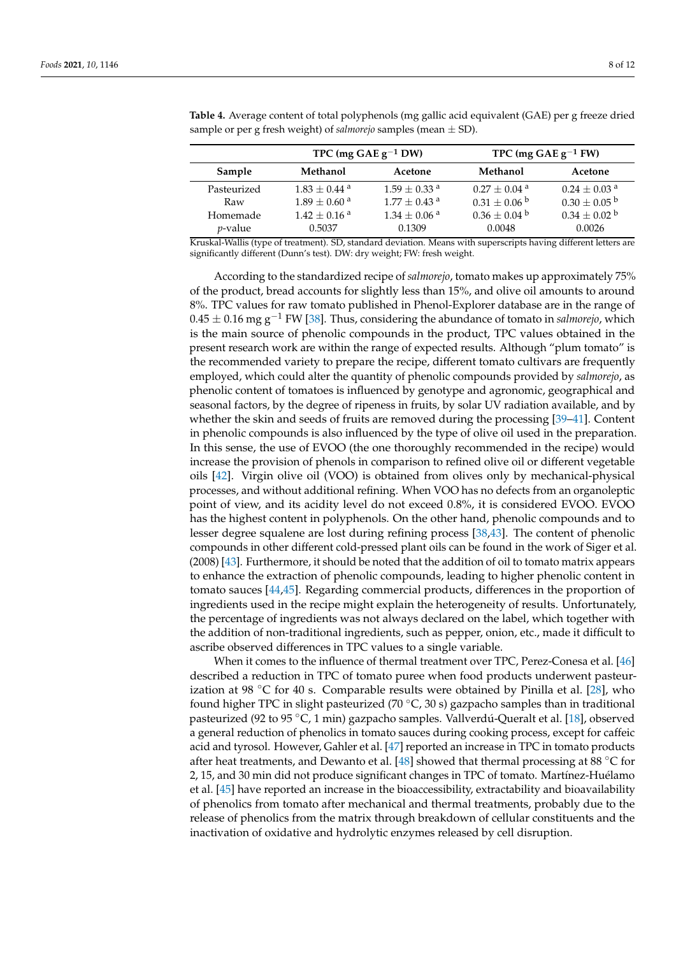|             |                            | TPC (mg $GAEg^{-1}DW$ )    | TPC (mg GAE $g^{-1}$ FW)     |                              |  |
|-------------|----------------------------|----------------------------|------------------------------|------------------------------|--|
| Sample      | Methanol                   | Acetone                    | Methanol                     | Acetone                      |  |
| Pasteurized | $1.83 + 0.44$ <sup>a</sup> | $1.59 + 0.33$ <sup>a</sup> | $0.27 \pm 0.04$ a            | $0.24 + 0.03$ <sup>a</sup>   |  |
| Raw         | $1.89 + 0.60$ <sup>a</sup> | $1.77 + 0.43$ <sup>a</sup> | $0.31 \pm 0.06^{\mathrm{b}}$ | $0.30 \pm 0.05^{\mathrm{b}}$ |  |
| Homemade    | $1.42 + 0.16$ <sup>a</sup> | $1.34 + 0.06$ <sup>a</sup> | $0.36 \pm 0.04^{\mathrm{b}}$ | $0.34 \pm 0.02$ <sup>b</sup> |  |
| $p$ -value  | 0.5037                     | 0.1309                     | 0.0048                       | 0.0026                       |  |

<span id="page-7-0"></span>**Table 4.** Average content of total polyphenols (mg gallic acid equivalent (GAE) per g freeze dried sample or per g fresh weight) of *salmorejo* samples (mean ± SD).

Kruskal-Wallis (type of treatment). SD, standard deviation. Means with superscripts having different letters are significantly different (Dunn's test). DW: dry weight; FW: fresh weight.

According to the standardized recipe of *salmorejo*, tomato makes up approximately 75% of the product, bread accounts for slightly less than 15%, and olive oil amounts to around 8%. TPC values for raw tomato published in Phenol-Explorer database are in the range of 0.45 ± 0.16 mg g−<sup>1</sup> FW [\[38\]](#page-10-17). Thus, considering the abundance of tomato in *salmorejo*, which is the main source of phenolic compounds in the product, TPC values obtained in the present research work are within the range of expected results. Although "plum tomato" is the recommended variety to prepare the recipe, different tomato cultivars are frequently employed, which could alter the quantity of phenolic compounds provided by *salmorejo*, as phenolic content of tomatoes is influenced by genotype and agronomic, geographical and seasonal factors, by the degree of ripeness in fruits, by solar UV radiation available, and by whether the skin and seeds of fruits are removed during the processing [\[39–](#page-10-18)[41\]](#page-10-19). Content in phenolic compounds is also influenced by the type of olive oil used in the preparation. In this sense, the use of EVOO (the one thoroughly recommended in the recipe) would increase the provision of phenols in comparison to refined olive oil or different vegetable oils [\[42\]](#page-10-20). Virgin olive oil (VOO) is obtained from olives only by mechanical-physical processes, and without additional refining. When VOO has no defects from an organoleptic point of view, and its acidity level do not exceed 0.8%, it is considered EVOO. EVOO has the highest content in polyphenols. On the other hand, phenolic compounds and to lesser degree squalene are lost during refining process [\[38](#page-10-17)[,43\]](#page-10-21). The content of phenolic compounds in other different cold-pressed plant oils can be found in the work of Siger et al. (2008) [\[43\]](#page-10-21). Furthermore, it should be noted that the addition of oil to tomato matrix appears to enhance the extraction of phenolic compounds, leading to higher phenolic content in tomato sauces [\[44,](#page-10-22)[45\]](#page-10-23). Regarding commercial products, differences in the proportion of ingredients used in the recipe might explain the heterogeneity of results. Unfortunately, the percentage of ingredients was not always declared on the label, which together with the addition of non-traditional ingredients, such as pepper, onion, etc., made it difficult to ascribe observed differences in TPC values to a single variable.

When it comes to the influence of thermal treatment over TPC, Perez-Conesa et al. [\[46\]](#page-10-24) described a reduction in TPC of tomato puree when food products underwent pasteurization at 98  $\degree$ C for 40 s. Comparable results were obtained by Pinilla et al. [\[28\]](#page-10-7), who found higher TPC in slight pasteurized (70  $°C$ , 30 s) gazpacho samples than in traditional pasteurized (92 to 95 ◦C, 1 min) gazpacho samples. Vallverdú-Queralt et al. [\[18\]](#page-9-16), observed a general reduction of phenolics in tomato sauces during cooking process, except for caffeic acid and tyrosol. However, Gahler et al. [\[47\]](#page-11-0) reported an increase in TPC in tomato products after heat treatments, and Dewanto et al. [\[48\]](#page-11-1) showed that thermal processing at 88  $\degree$ C for 2, 15, and 30 min did not produce significant changes in TPC of tomato. Martínez-Huélamo et al. [\[45\]](#page-10-23) have reported an increase in the bioaccessibility, extractability and bioavailability of phenolics from tomato after mechanical and thermal treatments, probably due to the release of phenolics from the matrix through breakdown of cellular constituents and the inactivation of oxidative and hydrolytic enzymes released by cell disruption.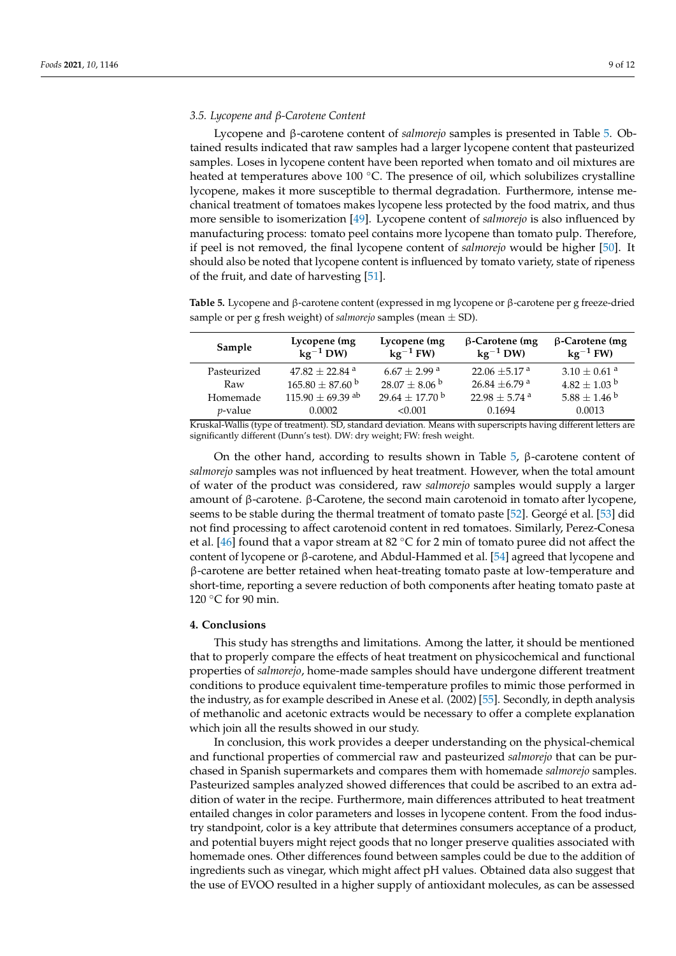## *3.5. Lycopene and β-Carotene Content*

Lycopene and β-carotene content of *salmorejo* samples is presented in Table [5.](#page-8-0) Obtained results indicated that raw samples had a larger lycopene content that pasteurized samples. Loses in lycopene content have been reported when tomato and oil mixtures are heated at temperatures above 100 °C. The presence of oil, which solubilizes crystalline lycopene, makes it more susceptible to thermal degradation. Furthermore, intense mechanical treatment of tomatoes makes lycopene less protected by the food matrix, and thus more sensible to isomerization [\[49\]](#page-11-2). Lycopene content of *salmorejo* is also influenced by manufacturing process: tomato peel contains more lycopene than tomato pulp. Therefore, if peel is not removed, the final lycopene content of *salmorejo* would be higher [\[50\]](#page-11-3). It should also be noted that lycopene content is influenced by tomato variety, state of ripeness of the fruit, and date of harvesting [\[51\]](#page-11-4).

<span id="page-8-0"></span>**Table 5.** Lycopene and β-carotene content (expressed in mg lycopene or β-carotene per g freeze-dried sample or per g fresh weight) of *salmorejo* samples (mean ± SD).

| Sample      | Lycopene (mg<br>$kg^{-1}$ DW) | Lycopene (mg<br>$kg^{-1}$ FW)  | $\beta$ -Carotene (mg<br>$kg^{-1}$ DW) | $\beta$ -Carotene (mg<br>$kg^{-1}$ FW) |
|-------------|-------------------------------|--------------------------------|----------------------------------------|----------------------------------------|
| Pasteurized | $47.82 + 22.84$ <sup>a</sup>  | $6.67 + 2.99$ <sup>a</sup>     | 22.06 $\pm$ 5.17 a                     | $3.10 \pm 0.61$ <sup>a</sup>           |
| Raw         | $165.80 \pm 87.60$ b          | $28.07 \pm 8.06^{\mathrm{b}}$  | $26.84 \pm 6.79$ a                     | $4.82 \pm 1.03$ b                      |
| Homemade    | $115.90 \pm 69.39$ ab         | $29.64 \pm 17.70^{\mathrm{b}}$ | $22.98 \pm 5.74$ a                     | $5.88 \pm 1.46^{\circ b}$              |
| $p$ -value  | 0.0002                        | < 0.001                        | 0.1694                                 | 0.0013                                 |

Kruskal-Wallis (type of treatment). SD, standard deviation. Means with superscripts having different letters are significantly different (Dunn's test). DW: dry weight; FW: fresh weight.

On the other hand, according to results shown in Table [5,](#page-8-0) β-carotene content of *salmorejo* samples was not influenced by heat treatment. However, when the total amount of water of the product was considered, raw *salmorejo* samples would supply a larger amount of β-carotene. β-Carotene, the second main carotenoid in tomato after lycopene, seems to be stable during the thermal treatment of tomato paste [\[52\]](#page-11-5). Georgé et al. [\[53\]](#page-11-6) did not find processing to affect carotenoid content in red tomatoes. Similarly, Perez-Conesa et al. [\[46\]](#page-10-24) found that a vapor stream at 82 ℃ for 2 min of tomato puree did not affect the content of lycopene or β-carotene, and Abdul-Hammed et al. [\[54\]](#page-11-7) agreed that lycopene and β-carotene are better retained when heat-treating tomato paste at low-temperature and short-time, reporting a severe reduction of both components after heating tomato paste at 120 °C for 90 min.

## **4. Conclusions**

This study has strengths and limitations. Among the latter, it should be mentioned that to properly compare the effects of heat treatment on physicochemical and functional properties of *salmorejo*, home-made samples should have undergone different treatment conditions to produce equivalent time-temperature profiles to mimic those performed in the industry, as for example described in Anese et al. (2002) [\[55\]](#page-11-8). Secondly, in depth analysis of methanolic and acetonic extracts would be necessary to offer a complete explanation which join all the results showed in our study.

In conclusion, this work provides a deeper understanding on the physical-chemical and functional properties of commercial raw and pasteurized *salmorejo* that can be purchased in Spanish supermarkets and compares them with homemade *salmorejo* samples. Pasteurized samples analyzed showed differences that could be ascribed to an extra addition of water in the recipe. Furthermore, main differences attributed to heat treatment entailed changes in color parameters and losses in lycopene content. From the food industry standpoint, color is a key attribute that determines consumers acceptance of a product, and potential buyers might reject goods that no longer preserve qualities associated with homemade ones. Other differences found between samples could be due to the addition of ingredients such as vinegar, which might affect pH values. Obtained data also suggest that the use of EVOO resulted in a higher supply of antioxidant molecules, as can be assessed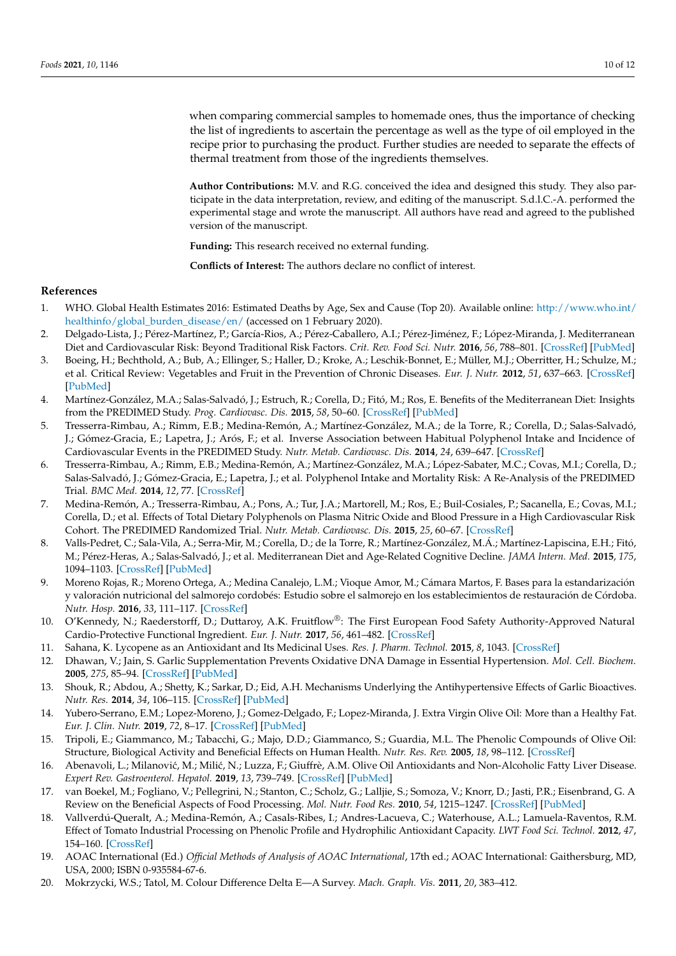when comparing commercial samples to homemade ones, thus the importance of checking the list of ingredients to ascertain the percentage as well as the type of oil employed in the recipe prior to purchasing the product. Further studies are needed to separate the effects of thermal treatment from those of the ingredients themselves.

**Author Contributions:** M.V. and R.G. conceived the idea and designed this study. They also participate in the data interpretation, review, and editing of the manuscript. S.d.l.C.-A. performed the experimental stage and wrote the manuscript. All authors have read and agreed to the published version of the manuscript.

**Funding:** This research received no external funding.

**Conflicts of Interest:** The authors declare no conflict of interest.

# **References**

- <span id="page-9-0"></span>1. WHO. Global Health Estimates 2016: Estimated Deaths by Age, Sex and Cause (Top 20). Available online: [http://www.who.int/](http://www.who.int/healthinfo/global_burden_disease/en/) [healthinfo/global\\_burden\\_disease/en/](http://www.who.int/healthinfo/global_burden_disease/en/) (accessed on 1 February 2020).
- <span id="page-9-1"></span>2. Delgado-Lista, J.; Pérez-Martínez, P.; García-Rios, A.; Pérez-Caballero, A.I.; Pérez-Jiménez, F.; López-Miranda, J. Mediterranean Diet and Cardiovascular Risk: Beyond Traditional Risk Factors. *Crit. Rev. Food Sci. Nutr.* **2016**, *56*, 788–801. [\[CrossRef\]](http://doi.org/10.1080/10408398.2012.726660) [\[PubMed\]](http://www.ncbi.nlm.nih.gov/pubmed/25118147)
- <span id="page-9-2"></span>3. Boeing, H.; Bechthold, A.; Bub, A.; Ellinger, S.; Haller, D.; Kroke, A.; Leschik-Bonnet, E.; Müller, M.J.; Oberritter, H.; Schulze, M.; et al. Critical Review: Vegetables and Fruit in the Prevention of Chronic Diseases. *Eur. J. Nutr.* **2012**, *51*, 637–663. [\[CrossRef\]](http://doi.org/10.1007/s00394-012-0380-y) [\[PubMed\]](http://www.ncbi.nlm.nih.gov/pubmed/22684631)
- <span id="page-9-3"></span>4. Martínez-González, M.A.; Salas-Salvadó, J.; Estruch, R.; Corella, D.; Fitó, M.; Ros, E. Benefits of the Mediterranean Diet: Insights from the PREDIMED Study. *Prog. Cardiovasc. Dis.* **2015**, *58*, 50–60. [\[CrossRef\]](http://doi.org/10.1016/j.pcad.2015.04.003) [\[PubMed\]](http://www.ncbi.nlm.nih.gov/pubmed/25940230)
- <span id="page-9-4"></span>5. Tresserra-Rimbau, A.; Rimm, E.B.; Medina-Remón, A.; Martínez-González, M.A.; de la Torre, R.; Corella, D.; Salas-Salvadó, J.; Gómez-Gracia, E.; Lapetra, J.; Arós, F.; et al. Inverse Association between Habitual Polyphenol Intake and Incidence of Cardiovascular Events in the PREDIMED Study. *Nutr. Metab. Cardiovasc. Dis.* **2014**, *24*, 639–647. [\[CrossRef\]](http://doi.org/10.1016/j.numecd.2013.12.014)
- <span id="page-9-5"></span>6. Tresserra-Rimbau, A.; Rimm, E.B.; Medina-Remón, A.; Martínez-González, M.A.; López-Sabater, M.C.; Covas, M.I.; Corella, D.; Salas-Salvadó, J.; Gómez-Gracia, E.; Lapetra, J.; et al. Polyphenol Intake and Mortality Risk: A Re-Analysis of the PREDIMED Trial. *BMC Med.* **2014**, *12*, 77. [\[CrossRef\]](http://doi.org/10.1186/1741-7015-12-77)
- <span id="page-9-6"></span>7. Medina-Remón, A.; Tresserra-Rimbau, A.; Pons, A.; Tur, J.A.; Martorell, M.; Ros, E.; Buil-Cosiales, P.; Sacanella, E.; Covas, M.I.; Corella, D.; et al. Effects of Total Dietary Polyphenols on Plasma Nitric Oxide and Blood Pressure in a High Cardiovascular Risk Cohort. The PREDIMED Randomized Trial. *Nutr. Metab. Cardiovasc. Dis.* **2015**, *25*, 60–67. [\[CrossRef\]](http://doi.org/10.1016/j.numecd.2014.09.001)
- <span id="page-9-7"></span>8. Valls-Pedret, C.; Sala-Vila, A.; Serra-Mir, M.; Corella, D.; de la Torre, R.; Martínez-González, M.Á.; Martínez-Lapiscina, E.H.; Fitó, M.; Pérez-Heras, A.; Salas-Salvadó, J.; et al. Mediterranean Diet and Age-Related Cognitive Decline. *JAMA Intern. Med.* **2015**, *175*, 1094–1103. [\[CrossRef\]](http://doi.org/10.1001/jamainternmed.2015.1668) [\[PubMed\]](http://www.ncbi.nlm.nih.gov/pubmed/25961184)
- <span id="page-9-8"></span>9. Moreno Rojas, R.; Moreno Ortega, A.; Medina Canalejo, L.M.; Vioque Amor, M.; Cámara Martos, F. Bases para la estandarización y valoración nutricional del salmorejo cordobés: Estudio sobre el salmorejo en los establecimientos de restauración de Córdoba. *Nutr. Hosp.* **2016**, *33*, 111–117. [\[CrossRef\]](http://doi.org/10.20960/nh.38)
- <span id="page-9-9"></span>10. O'Kennedy, N.; Raederstorff, D.; Duttaroy, A.K. Fruitflow®: The First European Food Safety Authority-Approved Natural Cardio-Protective Functional Ingredient. *Eur. J. Nutr.* **2017**, *56*, 461–482. [\[CrossRef\]](http://doi.org/10.1007/s00394-016-1265-2)
- <span id="page-9-10"></span>11. Sahana, K. Lycopene as an Antioxidant and Its Medicinal Uses. *Res. J. Pharm. Technol.* **2015**, *8*, 1043. [\[CrossRef\]](http://doi.org/10.5958/0974-360X.2015.00178.X)
- <span id="page-9-11"></span>12. Dhawan, V.; Jain, S. Garlic Supplementation Prevents Oxidative DNA Damage in Essential Hypertension. *Mol. Cell. Biochem.* **2005**, *275*, 85–94. [\[CrossRef\]](http://doi.org/10.1007/s11010-005-0824-2) [\[PubMed\]](http://www.ncbi.nlm.nih.gov/pubmed/16335787)
- <span id="page-9-12"></span>13. Shouk, R.; Abdou, A.; Shetty, K.; Sarkar, D.; Eid, A.H. Mechanisms Underlying the Antihypertensive Effects of Garlic Bioactives. *Nutr. Res.* **2014**, *34*, 106–115. [\[CrossRef\]](http://doi.org/10.1016/j.nutres.2013.12.005) [\[PubMed\]](http://www.ncbi.nlm.nih.gov/pubmed/24461311)
- <span id="page-9-13"></span>14. Yubero-Serrano, E.M.; Lopez-Moreno, J.; Gomez-Delgado, F.; Lopez-Miranda, J. Extra Virgin Olive Oil: More than a Healthy Fat. *Eur. J. Clin. Nutr.* **2019**, *72*, 8–17. [\[CrossRef\]](http://doi.org/10.1038/s41430-018-0304-x) [\[PubMed\]](http://www.ncbi.nlm.nih.gov/pubmed/30487558)
- 15. Tripoli, E.; Giammanco, M.; Tabacchi, G.; Majo, D.D.; Giammanco, S.; Guardia, M.L. The Phenolic Compounds of Olive Oil: Structure, Biological Activity and Beneficial Effects on Human Health. *Nutr. Res. Rev.* **2005**, *18*, 98–112. [\[CrossRef\]](http://doi.org/10.1079/NRR200495)
- <span id="page-9-14"></span>16. Abenavoli, L.; Milanović, M.; Milić, N.; Luzza, F.; Giuffrè, A.M. Olive Oil Antioxidants and Non-Alcoholic Fatty Liver Disease. *Expert Rev. Gastroenterol. Hepatol.* **2019**, *13*, 739–749. [\[CrossRef\]](http://doi.org/10.1080/17474124.2019.1634544) [\[PubMed\]](http://www.ncbi.nlm.nih.gov/pubmed/31215262)
- <span id="page-9-15"></span>17. van Boekel, M.; Fogliano, V.; Pellegrini, N.; Stanton, C.; Scholz, G.; Lalljie, S.; Somoza, V.; Knorr, D.; Jasti, P.R.; Eisenbrand, G. A Review on the Beneficial Aspects of Food Processing. *Mol. Nutr. Food Res.* **2010**, *54*, 1215–1247. [\[CrossRef\]](http://doi.org/10.1002/mnfr.200900608) [\[PubMed\]](http://www.ncbi.nlm.nih.gov/pubmed/20725924)
- <span id="page-9-16"></span>18. Vallverdú-Queralt, A.; Medina-Remón, A.; Casals-Ribes, I.; Andres-Lacueva, C.; Waterhouse, A.L.; Lamuela-Raventos, R.M. Effect of Tomato Industrial Processing on Phenolic Profile and Hydrophilic Antioxidant Capacity. *LWT Food Sci. Technol.* **2012**, *47*, 154–160. [\[CrossRef\]](http://doi.org/10.1016/j.lwt.2011.12.020)
- <span id="page-9-17"></span>19. AOAC International (Ed.) *Official Methods of Analysis of AOAC International*, 17th ed.; AOAC International: Gaithersburg, MD, USA, 2000; ISBN 0-935584-67-6.
- <span id="page-9-18"></span>20. Mokrzycki, W.S.; Tatol, M. Colour Difference Delta E—A Survey. *Mach. Graph. Vis.* **2011**, *20*, 383–412.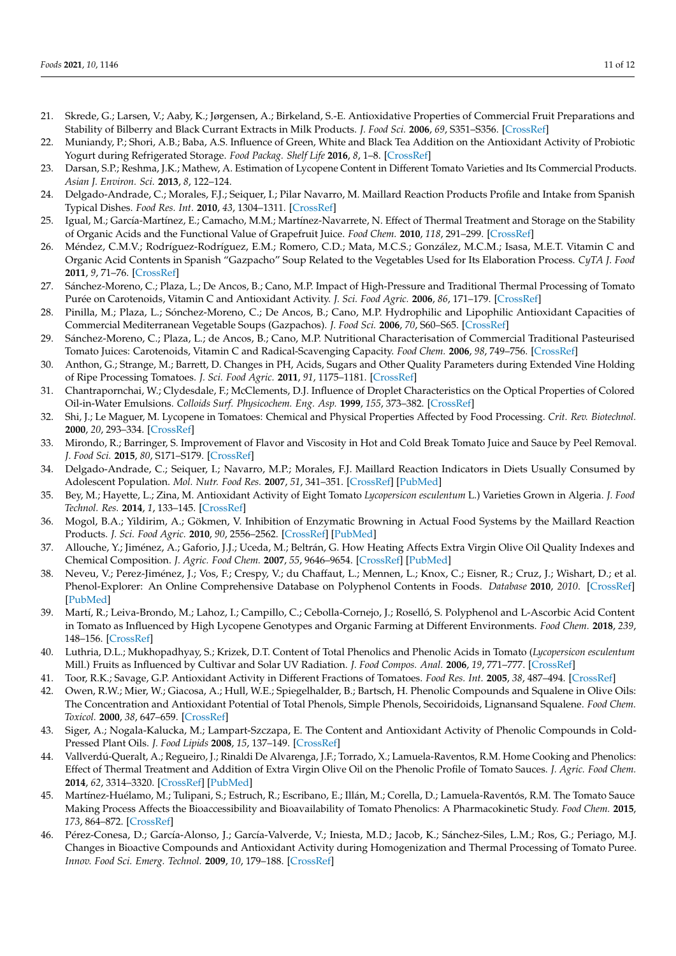- <span id="page-10-0"></span>21. Skrede, G.; Larsen, V.; Aaby, K.; Jørgensen, A.; Birkeland, S.-E. Antioxidative Properties of Commercial Fruit Preparations and Stability of Bilberry and Black Currant Extracts in Milk Products. *J. Food Sci.* **2006**, *69*, S351–S356. [\[CrossRef\]](http://doi.org/10.1111/j.1365-2621.2004.tb09948.x)
- <span id="page-10-1"></span>22. Muniandy, P.; Shori, A.B.; Baba, A.S. Influence of Green, White and Black Tea Addition on the Antioxidant Activity of Probiotic Yogurt during Refrigerated Storage. *Food Packag. Shelf Life* **2016**, *8*, 1–8. [\[CrossRef\]](http://doi.org/10.1016/j.fpsl.2016.02.002)
- <span id="page-10-2"></span>23. Darsan, S.P.; Reshma, J.K.; Mathew, A. Estimation of Lycopene Content in Different Tomato Varieties and Its Commercial Products. *Asian J. Environ. Sci.* **2013**, *8*, 122–124.
- <span id="page-10-3"></span>24. Delgado-Andrade, C.; Morales, F.J.; Seiquer, I.; Pilar Navarro, M. Maillard Reaction Products Profile and Intake from Spanish Typical Dishes. *Food Res. Int.* **2010**, *43*, 1304–1311. [\[CrossRef\]](http://doi.org/10.1016/j.foodres.2010.03.018)
- <span id="page-10-4"></span>25. Igual, M.; García-Martínez, E.; Camacho, M.M.; Martínez-Navarrete, N. Effect of Thermal Treatment and Storage on the Stability of Organic Acids and the Functional Value of Grapefruit Juice. *Food Chem.* **2010**, *118*, 291–299. [\[CrossRef\]](http://doi.org/10.1016/j.foodchem.2009.04.118)
- <span id="page-10-5"></span>26. Méndez, C.M.V.; Rodríguez-Rodríguez, E.M.; Romero, C.D.; Mata, M.C.S.; González, M.C.M.; Isasa, M.E.T. Vitamin C and Organic Acid Contents in Spanish "Gazpacho" Soup Related to the Vegetables Used for Its Elaboration Process. *CyTA J. Food* **2011**, *9*, 71–76. [\[CrossRef\]](http://doi.org/10.1080/19476331003654393)
- <span id="page-10-6"></span>27. Sánchez-Moreno, C.; Plaza, L.; De Ancos, B.; Cano, M.P. Impact of High-Pressure and Traditional Thermal Processing of Tomato Purée on Carotenoids, Vitamin C and Antioxidant Activity. *J. Sci. Food Agric.* **2006**, *86*, 171–179. [\[CrossRef\]](http://doi.org/10.1002/jsfa.2321)
- <span id="page-10-7"></span>28. Pinilla, M.; Plaza, L.; Sónchez-Moreno, C.; De Ancos, B.; Cano, M.P. Hydrophilic and Lipophilic Antioxidant Capacities of Commercial Mediterranean Vegetable Soups (Gazpachos). *J. Food Sci.* **2006**, *70*, S60–S65. [\[CrossRef\]](http://doi.org/10.1111/j.1365-2621.2005.tb09066.x)
- <span id="page-10-8"></span>29. Sánchez-Moreno, C.; Plaza, L.; de Ancos, B.; Cano, M.P. Nutritional Characterisation of Commercial Traditional Pasteurised Tomato Juices: Carotenoids, Vitamin C and Radical-Scavenging Capacity. *Food Chem.* **2006**, *98*, 749–756. [\[CrossRef\]](http://doi.org/10.1016/j.foodchem.2005.07.015)
- <span id="page-10-9"></span>30. Anthon, G.; Strange, M.; Barrett, D. Changes in PH, Acids, Sugars and Other Quality Parameters during Extended Vine Holding of Ripe Processing Tomatoes. *J. Sci. Food Agric.* **2011**, *91*, 1175–1181. [\[CrossRef\]](http://doi.org/10.1002/jsfa.4312)
- <span id="page-10-10"></span>31. Chantrapornchai, W.; Clydesdale, F.; McClements, D.J. Influence of Droplet Characteristics on the Optical Properties of Colored Oil-in-Water Emulsions. *Colloids Surf. Physicochem. Eng. Asp.* **1999**, *155*, 373–382. [\[CrossRef\]](http://doi.org/10.1016/S0927-7757(99)00004-7)
- <span id="page-10-11"></span>32. Shi, J.; Le Maguer, M. Lycopene in Tomatoes: Chemical and Physical Properties Affected by Food Processing. *Crit. Rev. Biotechnol.* **2000**, *20*, 293–334. [\[CrossRef\]](http://doi.org/10.1080/07388550091144212)
- <span id="page-10-12"></span>33. Mirondo, R.; Barringer, S. Improvement of Flavor and Viscosity in Hot and Cold Break Tomato Juice and Sauce by Peel Removal. *J. Food Sci.* **2015**, *80*, S171–S179. [\[CrossRef\]](http://doi.org/10.1111/1750-3841.12725)
- <span id="page-10-13"></span>34. Delgado-Andrade, C.; Seiquer, I.; Navarro, M.P.; Morales, F.J. Maillard Reaction Indicators in Diets Usually Consumed by Adolescent Population. *Mol. Nutr. Food Res.* **2007**, *51*, 341–351. [\[CrossRef\]](http://doi.org/10.1002/mnfr.200600070) [\[PubMed\]](http://www.ncbi.nlm.nih.gov/pubmed/17309116)
- <span id="page-10-14"></span>35. Bey, M.; Hayette, L.; Zina, M. Antioxidant Activity of Eight Tomato *Lycopersicon esculentum* L.) Varieties Grown in Algeria. *J. Food Technol. Res.* **2014**, *1*, 133–145. [\[CrossRef\]](http://doi.org/10.18488/journal.58/2014.1.2/58.2.133.145)
- <span id="page-10-15"></span>36. Mogol, B.A.; Yildirim, A.; Gökmen, V. Inhibition of Enzymatic Browning in Actual Food Systems by the Maillard Reaction Products. *J. Sci. Food Agric.* **2010**, *90*, 2556–2562. [\[CrossRef\]](http://doi.org/10.1002/jsfa.4118) [\[PubMed\]](http://www.ncbi.nlm.nih.gov/pubmed/20690142)
- <span id="page-10-16"></span>37. Allouche, Y.; Jiménez, A.; Gaforio, J.J.; Uceda, M.; Beltrán, G. How Heating Affects Extra Virgin Olive Oil Quality Indexes and Chemical Composition. *J. Agric. Food Chem.* **2007**, *55*, 9646–9654. [\[CrossRef\]](http://doi.org/10.1021/jf070628u) [\[PubMed\]](http://www.ncbi.nlm.nih.gov/pubmed/17935291)
- <span id="page-10-17"></span>38. Neveu, V.; Perez-Jiménez, J.; Vos, F.; Crespy, V.; du Chaffaut, L.; Mennen, L.; Knox, C.; Eisner, R.; Cruz, J.; Wishart, D.; et al. Phenol-Explorer: An Online Comprehensive Database on Polyphenol Contents in Foods. *Database* **2010**, *2010*. [\[CrossRef\]](http://doi.org/10.1093/database/bap024) [\[PubMed\]](http://www.ncbi.nlm.nih.gov/pubmed/20428313)
- <span id="page-10-18"></span>39. Martí, R.; Leiva-Brondo, M.; Lahoz, I.; Campillo, C.; Cebolla-Cornejo, J.; Roselló, S. Polyphenol and L-Ascorbic Acid Content in Tomato as Influenced by High Lycopene Genotypes and Organic Farming at Different Environments. *Food Chem.* **2018**, *239*, 148–156. [\[CrossRef\]](http://doi.org/10.1016/j.foodchem.2017.06.102)
- 40. Luthria, D.L.; Mukhopadhyay, S.; Krizek, D.T. Content of Total Phenolics and Phenolic Acids in Tomato (*Lycopersicon esculentum* Mill.) Fruits as Influenced by Cultivar and Solar UV Radiation. *J. Food Compos. Anal.* **2006**, *19*, 771–777. [\[CrossRef\]](http://doi.org/10.1016/j.jfca.2006.04.005)
- <span id="page-10-19"></span>41. Toor, R.K.; Savage, G.P. Antioxidant Activity in Different Fractions of Tomatoes. *Food Res. Int.* **2005**, *38*, 487–494. [\[CrossRef\]](http://doi.org/10.1016/j.foodres.2004.10.016)
- <span id="page-10-20"></span>42. Owen, R.W.; Mier, W.; Giacosa, A.; Hull, W.E.; Spiegelhalder, B.; Bartsch, H. Phenolic Compounds and Squalene in Olive Oils: The Concentration and Antioxidant Potential of Total Phenols, Simple Phenols, Secoiridoids, Lignansand Squalene. *Food Chem. Toxicol.* **2000**, *38*, 647–659. [\[CrossRef\]](http://doi.org/10.1016/S0278-6915(00)00061-2)
- <span id="page-10-21"></span>43. Siger, A.; Nogala-Kalucka, M.; Lampart-Szczapa, E. The Content and Antioxidant Activity of Phenolic Compounds in Cold-Pressed Plant Oils. *J. Food Lipids* **2008**, *15*, 137–149. [\[CrossRef\]](http://doi.org/10.1111/j.1745-4522.2007.00107.x)
- <span id="page-10-22"></span>44. Vallverdú-Queralt, A.; Regueiro, J.; Rinaldi De Alvarenga, J.F.; Torrado, X.; Lamuela-Raventos, R.M. Home Cooking and Phenolics: Effect of Thermal Treatment and Addition of Extra Virgin Olive Oil on the Phenolic Profile of Tomato Sauces. *J. Agric. Food Chem.* **2014**, *62*, 3314–3320. [\[CrossRef\]](http://doi.org/10.1021/jf500416n) [\[PubMed\]](http://www.ncbi.nlm.nih.gov/pubmed/24650040)
- <span id="page-10-23"></span>45. Martínez-Huélamo, M.; Tulipani, S.; Estruch, R.; Escribano, E.; Illán, M.; Corella, D.; Lamuela-Raventós, R.M. The Tomato Sauce Making Process Affects the Bioaccessibility and Bioavailability of Tomato Phenolics: A Pharmacokinetic Study. *Food Chem.* **2015**, *173*, 864–872. [\[CrossRef\]](http://doi.org/10.1016/j.foodchem.2014.09.156)
- <span id="page-10-24"></span>46. Pérez-Conesa, D.; García-Alonso, J.; García-Valverde, V.; Iniesta, M.D.; Jacob, K.; Sánchez-Siles, L.M.; Ros, G.; Periago, M.J. Changes in Bioactive Compounds and Antioxidant Activity during Homogenization and Thermal Processing of Tomato Puree. *Innov. Food Sci. Emerg. Technol.* **2009**, *10*, 179–188. [\[CrossRef\]](http://doi.org/10.1016/j.ifset.2008.12.001)